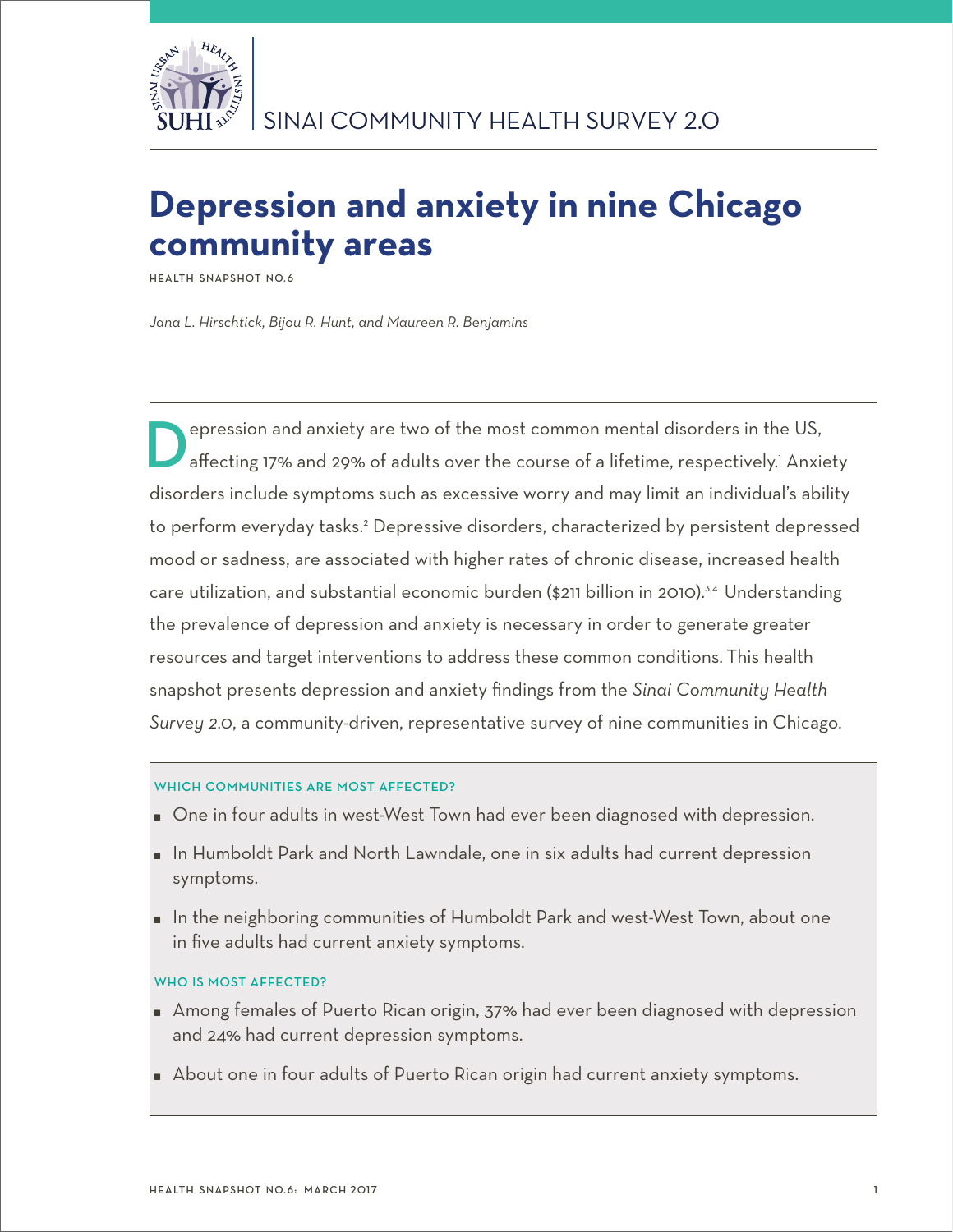

# **Depression and anxiety in nine Chicago community areas**

**Health Snapshot No.6**

*Jana L. Hirschtick, Bijou R. Hunt, and Maureen R. Benjamins*

**D**epression and anxiety are two of the most common mental disorders in the US,<br>affecting 17% and 29% of adults over the course of a lifetime, respectively.<sup>1</sup> Anxiety disorders include symptoms such as excessive worry and may limit an individual's ability to perform everyday tasks.<sup>2</sup> Depressive disorders, characterized by persistent depressed mood or sadness, are associated with higher rates of chronic disease, increased health care utilization, and substantial economic burden (\$211 billion in 2010).<sup>3,4</sup> Understanding the prevalence of depression and anxiety is necessary in order to generate greater resources and target interventions to address these common conditions. This health snapshot presents depression and anxiety findings from the *Sinai Community Health Survey 2.0*, a community-driven, representative survey of nine communities in Chicago.

# WHICH COMMUNITIES ARE MOST AFFECTED?

- One in four adults in west-West Town had ever been diagnosed with depression.
- **I** In Humboldt Park and North Lawndale, one in six adults had current depression symptoms.
- In the neighboring communities of Humboldt Park and west-West Town, about one in five adults had current anxiety symptoms.

# WHO IS MOST AFFECTED?

- Among females of Puerto Rican origin, 37% had ever been diagnosed with depression and 24% had current depression symptoms.
- About one in four adults of Puerto Rican origin had current anxiety symptoms.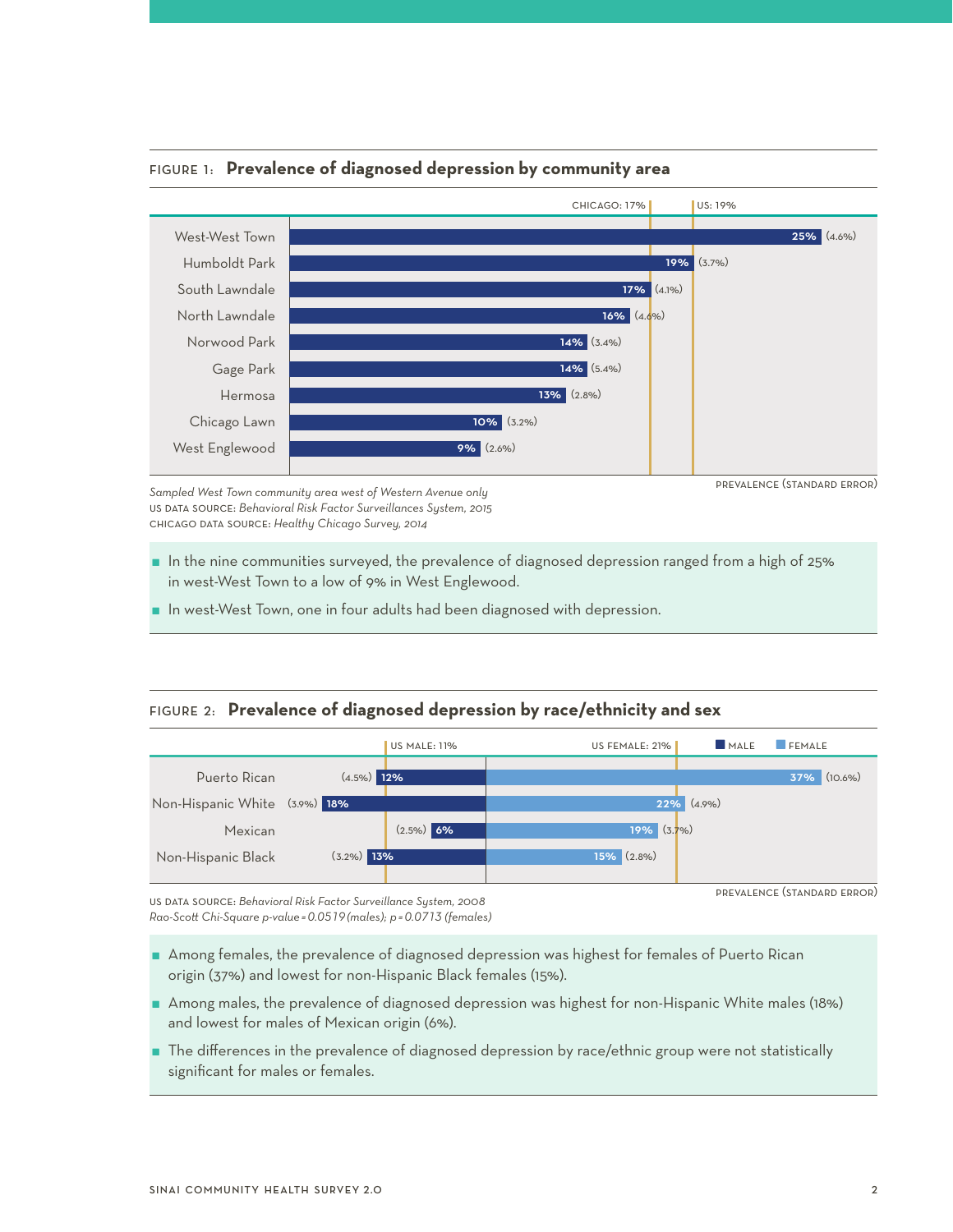

## Figure 1: **Prevalence of diagnosed depression by community area**

*Sampled West Town community area west of Western Avenue only* us data source: *Behavioral Risk Factor Surveillances System, 2015*  chicago data source: *Healthy Chicago Survey, 2014*

- 
- $\blacksquare$  In the nine communities surveyed, the prevalence of diagnosed depression ranged from a high of 25% in west-West Town to a low of 9% in West Englewood.
- In west-West Town, one in four adults had been diagnosed with depression.

# Figure 2: **Prevalence of diagnosed depression by race/ethnicity and sex**



us data source: *Behavioral Risk Factor Surveillance System, 2008 Rao-Scott Chi-Square p-value =0.0519 (males); p =0.0713 (females)*

- Among females, the prevalence of diagnosed depression was highest for females of Puerto Rican origin (37%) and lowest for non-Hispanic Black females (15%).
- Among males, the prevalence of diagnosed depression was highest for non-Hispanic White males (18%) and lowest for males of Mexican origin (6%).
- The differences in the prevalence of diagnosed depression by race/ethnic group were not statistically significant for males or females.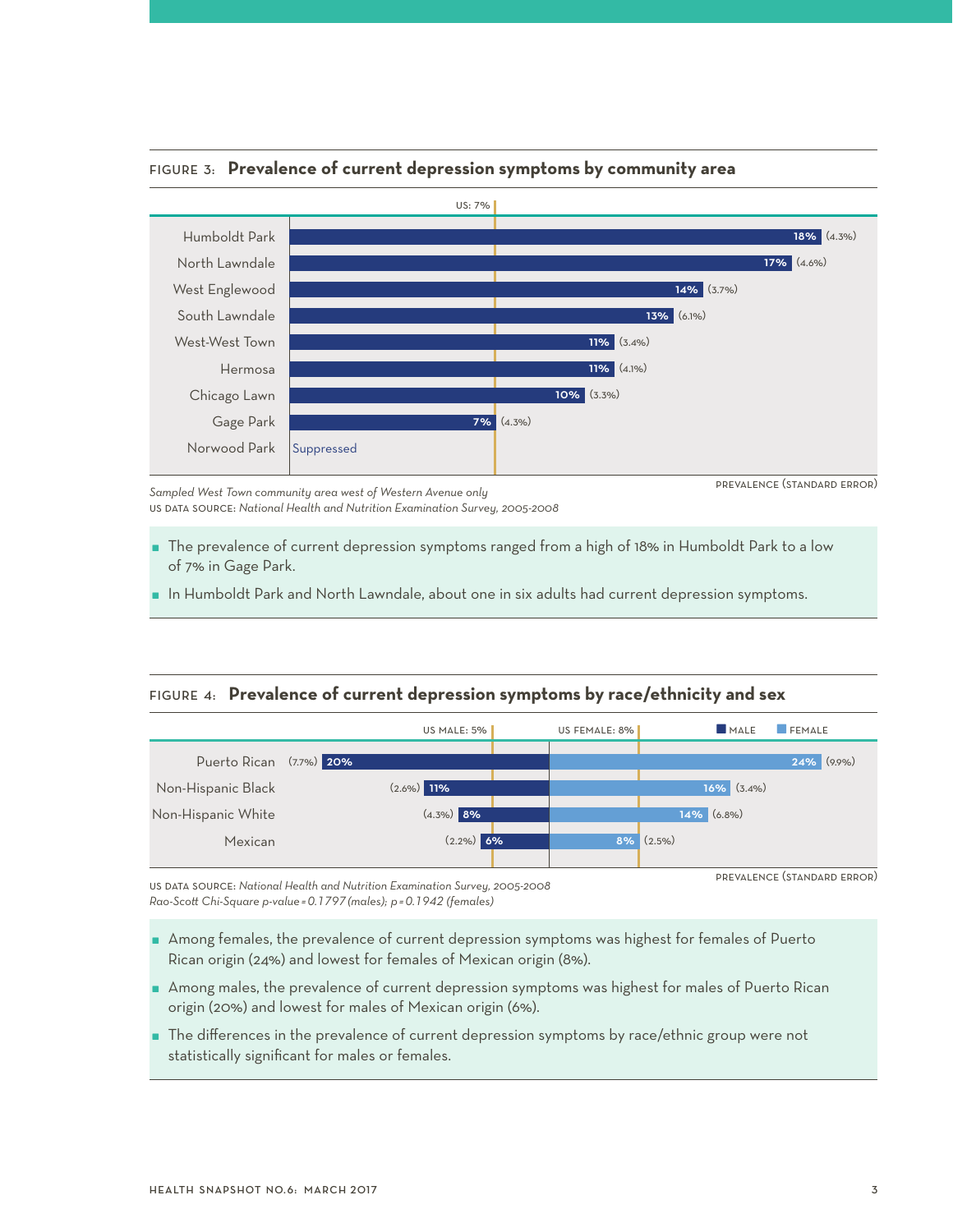

## Figure 3: **Prevalence of current depression symptoms by community area**

*Sampled West Town community area west of Western Avenue only* us data source: *National Health and Nutrition Examination Survey, 2005-2008* 

- The prevalence of current depression symptoms ranged from a high of 18% in Humboldt Park to a low of 7% in Gage Park.
- In Humboldt Park and North Lawndale, about one in six adults had current depression symptoms.

## Figure 4: **Prevalence of current depression symptoms by race/ethnicity and sex**



us data source: *National Health and Nutrition Examination Survey, 2005-2008 Rao-Scott Chi-Square p-value =0.1797 (males); p =0.1942 (females)*

- Among females, the prevalence of current depression symptoms was highest for females of Puerto Rican origin (24%) and lowest for females of Mexican origin (8%).
- Among males, the prevalence of current depression symptoms was highest for males of Puerto Rican origin (20%) and lowest for males of Mexican origin (6%).
- The differences in the prevalence of current depression symptoms by race/ethnic group were not statistically significant for males or females.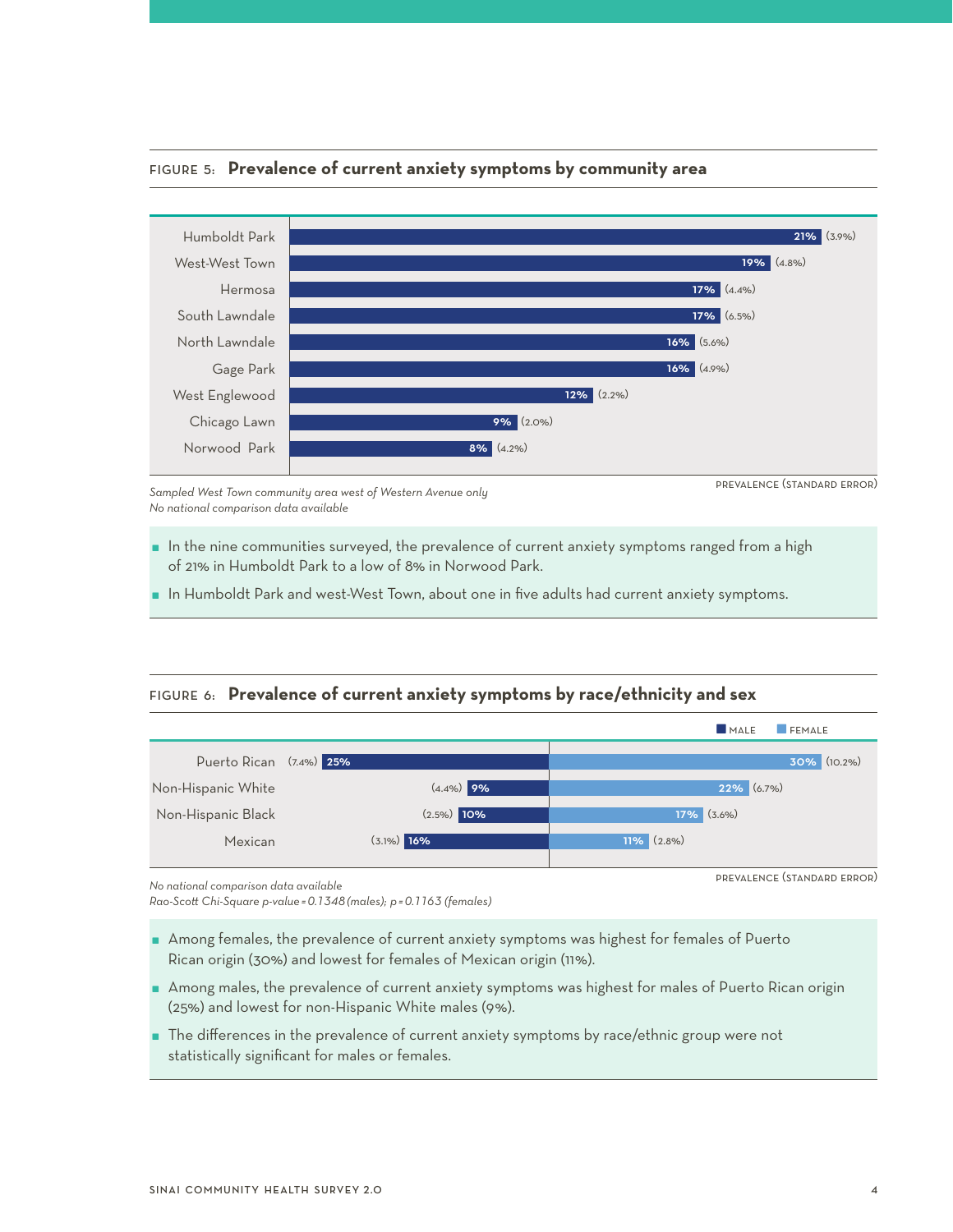

## Figure 5: **Prevalence of current anxiety symptoms by community area**

*Sampled West Town community area west of Western Avenue only No national comparison data available* 

- In the nine communities surveyed, the prevalence of current anxiety symptoms ranged from a high of 21% in Humboldt Park to a low of 8% in Norwood Park.
- $\blacksquare$  In Humboldt Park and west-West Town, about one in five adults had current anxiety symptoms.

# Figure 6: **Prevalence of current anxiety symptoms by race/ethnicity and sex**



*No national comparison data available*

*Rao-Scott Chi-Square p-value =0.1348 (males); p =0.1163 (females)*

- Among females, the prevalence of current anxiety symptoms was highest for females of Puerto Rican origin (30%) and lowest for females of Mexican origin (11%).
- Among males, the prevalence of current anxiety symptoms was highest for males of Puerto Rican origin (25%) and lowest for non-Hispanic White males (9%).
- The differences in the prevalence of current anxiety symptoms by race/ethnic group were not statistically significant for males or females.